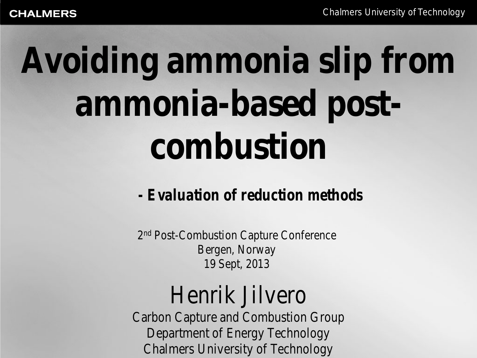# **Avoiding ammonia slip from ammonia-based postcombustion**

*- Evaluation of reduction methods*

2nd Post-Combustion Capture Conference Bergen, Norway 19 Sept, 2013

#### Henrik Jilvero

Carbon Capture and Combustion Group Department of Energy Technology Chalmers University of Technology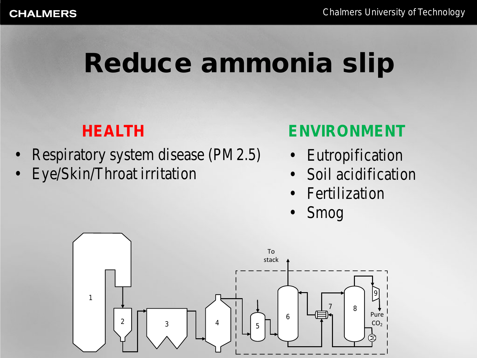## Reduce ammonia slip

- Respiratory system disease (PM2.5)
- Eye/Skin/Throat irritation

#### **HEALTH ENVIRONMENT**

- **Eutropification**
- Soil acidification
- **Fertilization**
- Smog

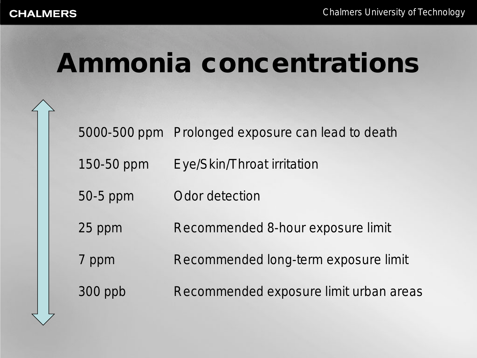#### Ammonia concentrations

5000-500 ppm Prolonged exposure can lead to death

150-50 ppm Eye/Skin/Throat irritation

50-5 ppm Odor detection

25 ppm Recommended 8-hour exposure limit

7 ppm Recommended long-term exposure limit

300 ppb Recommended exposure limit urban areas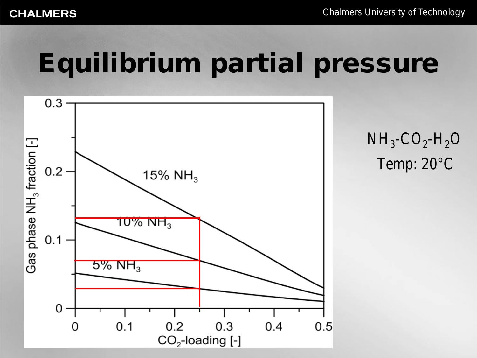### Equilibrium partial pressure

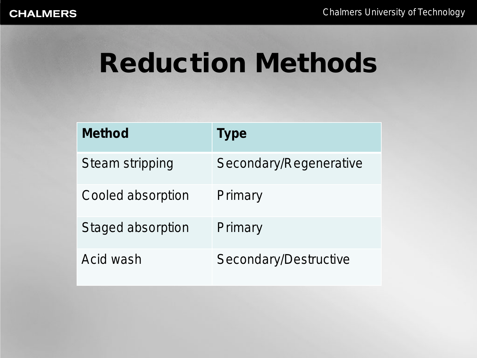# Reduction Methods

| <b>Method</b>          | <b>Type</b>            |
|------------------------|------------------------|
| <b>Steam stripping</b> | Secondary/Regenerative |
| Cooled absorption      | Primary                |
| Staged absorption      | Primary                |
| Acid wash              | Secondary/Destructive  |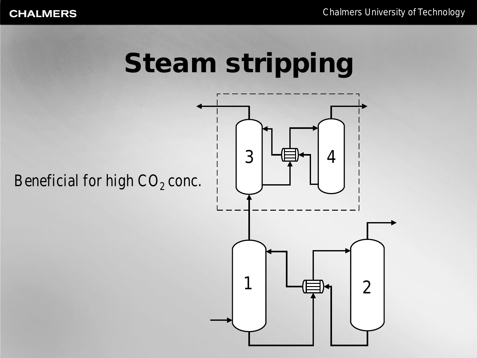# Steam stripping

Beneficial for high  $CO<sub>2</sub>$  conc.

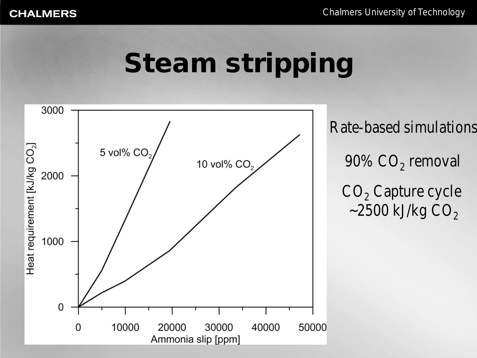#### Steam stripping

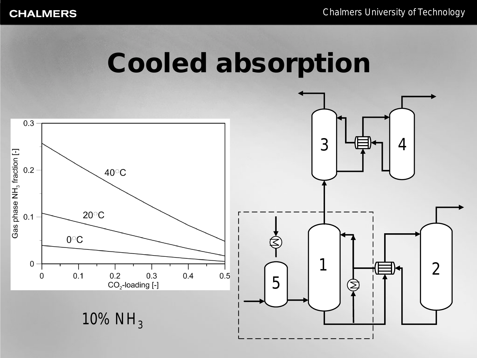#### Cooled absorption

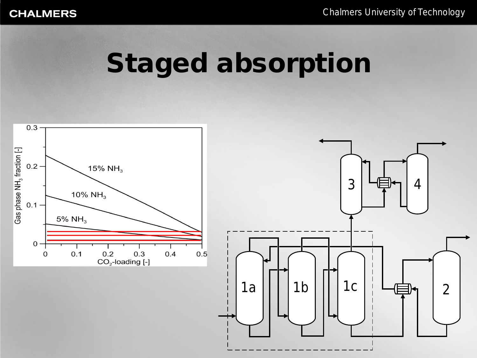#### Staged absorption

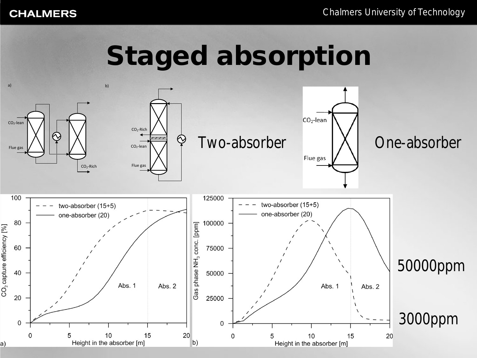# Staged absorption

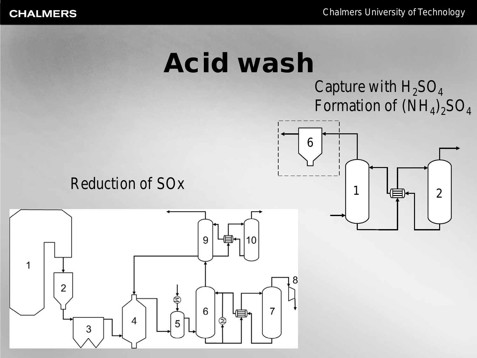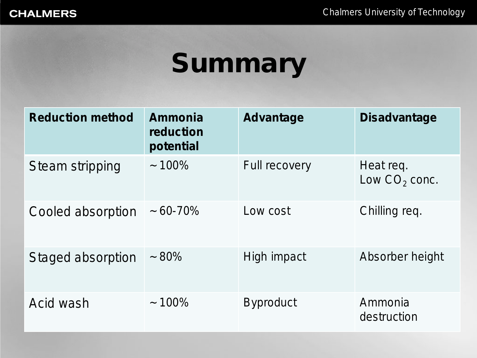# Summary

| <b>Reduction method</b> | Ammonia<br>reduction<br>potential | <b>Advantage</b>     | <b>Disadvantage</b>          |
|-------------------------|-----------------------------------|----------------------|------------------------------|
| <b>Steam stripping</b>  | $~100\%$                          | <b>Full recovery</b> | Heat req.<br>Low $CO2$ conc. |
| Cooled absorption       | $\sim 60 - 70\%$                  | Low cost             | Chilling req.                |
| Staged absorption       | $~1.80\%$                         | High impact          | Absorber height              |
| Acid wash               | $~100\%$                          | <b>Byproduct</b>     | Ammonia<br>destruction       |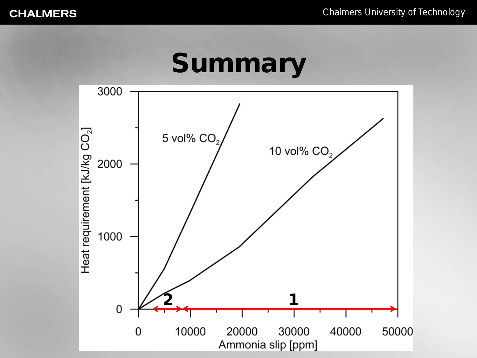#### Summary

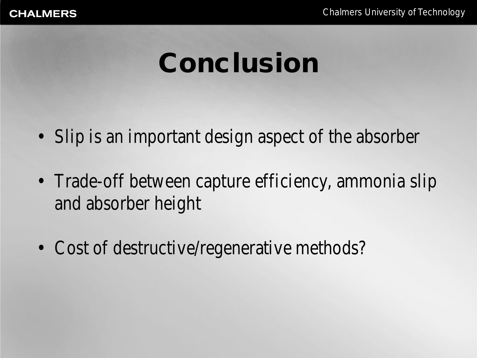## Conclusion

- Slip is an important design aspect of the absorber
- Trade-off between capture efficiency, ammonia slip and absorber height
- Cost of destructive/regenerative methods?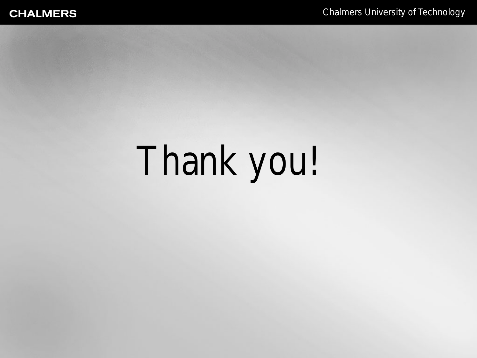# Thank you!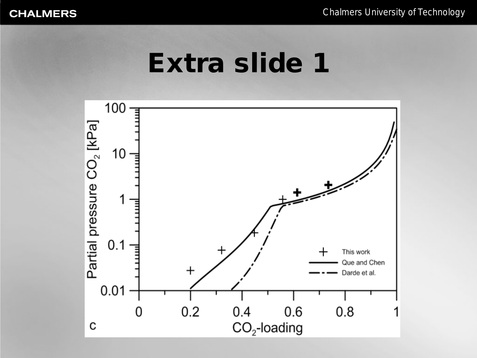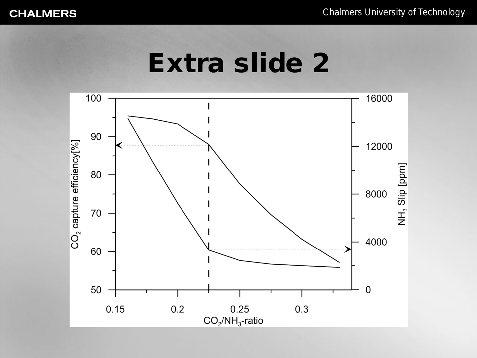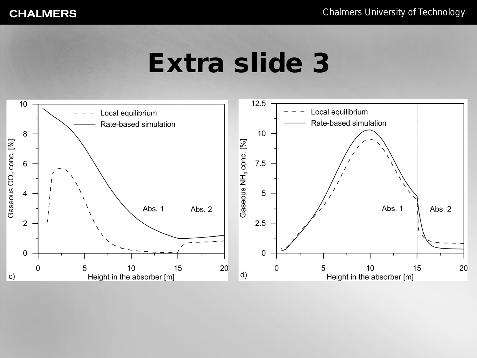